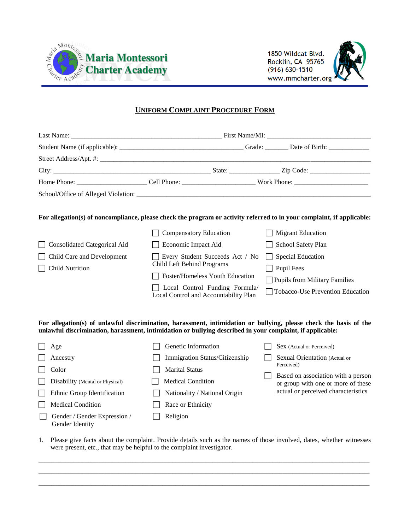

1850 Wildcat Blvd. Rocklin, CA 95765  $(916) 630 - 1510$ www.mmcharter.org



## **UNIFORM COMPLAINT PROCEDURE FORM**

| <b>Consolidated Categorical Aid</b><br>$\Box$ Child Care and Development<br>$\Box$ Child Nutrition | For allegation(s) of noncompliance, please check the program or activity referred to in your complaint, if applicable:<br><b>Compensatory Education</b><br>Economic Impact Aid<br>Every Student Succeeds Act / No<br>Child Left Behind Programs<br>Foster/Homeless Youth Education<br>Local Control Funding Formula<br>Local Control and Accountability Plan | <b>Migrant Education</b><br>  School Safety Plan<br>  Special Education<br>$\Box$ Pupil Fees<br>$\Box$ Pupils from Military Families<br>Tobacco-Use Prevention Education |  |  |  |
|----------------------------------------------------------------------------------------------------|--------------------------------------------------------------------------------------------------------------------------------------------------------------------------------------------------------------------------------------------------------------------------------------------------------------------------------------------------------------|--------------------------------------------------------------------------------------------------------------------------------------------------------------------------|--|--|--|

**For allegation(s) of unlawful discrimination, harassment, intimidation or bullying, please check the basis of the unlawful discrimination, harassment, intimidation or bullying described in your complaint, if applicable:**

| Age                                             | Genetic Information            |  | Sex (Actual or Perceived)                                                                                                     |
|-------------------------------------------------|--------------------------------|--|-------------------------------------------------------------------------------------------------------------------------------|
| Ancestry                                        | Immigration Status/Citizenship |  | Sexual Orientation (Actual or                                                                                                 |
| Color                                           | <b>Marital Status</b>          |  | Perceived)<br>Based on association with a person<br>or group with one or more of these<br>actual or perceived characteristics |
| Disability (Mental or Physical)                 | <b>Medical Condition</b>       |  |                                                                                                                               |
| Ethnic Group Identification                     | Nationality / National Origin  |  |                                                                                                                               |
| <b>Medical Condition</b>                        | Race or Ethnicity              |  |                                                                                                                               |
| Gender / Gender Expression /<br>Gender Identity | Religion                       |  |                                                                                                                               |

1. Please give facts about the complaint. Provide details such as the names of those involved, dates, whether witnesses were present, etc., that may be helpful to the complaint investigator.

\_\_\_\_\_\_\_\_\_\_\_\_\_\_\_\_\_\_\_\_\_\_\_\_\_\_\_\_\_\_\_\_\_\_\_\_\_\_\_\_\_\_\_\_\_\_\_\_\_\_\_\_\_\_\_\_\_\_\_\_\_\_\_\_\_\_\_\_\_\_\_\_\_\_\_\_\_\_\_\_\_\_\_\_\_\_\_\_\_\_\_\_\_\_\_\_\_\_\_ \_\_\_\_\_\_\_\_\_\_\_\_\_\_\_\_\_\_\_\_\_\_\_\_\_\_\_\_\_\_\_\_\_\_\_\_\_\_\_\_\_\_\_\_\_\_\_\_\_\_\_\_\_\_\_\_\_\_\_\_\_\_\_\_\_\_\_\_\_\_\_\_\_\_\_\_\_\_\_\_\_\_\_\_\_\_\_\_\_\_\_\_\_\_\_\_\_\_\_ \_\_\_\_\_\_\_\_\_\_\_\_\_\_\_\_\_\_\_\_\_\_\_\_\_\_\_\_\_\_\_\_\_\_\_\_\_\_\_\_\_\_\_\_\_\_\_\_\_\_\_\_\_\_\_\_\_\_\_\_\_\_\_\_\_\_\_\_\_\_\_\_\_\_\_\_\_\_\_\_\_\_\_\_\_\_\_\_\_\_\_\_\_\_\_\_\_\_\_